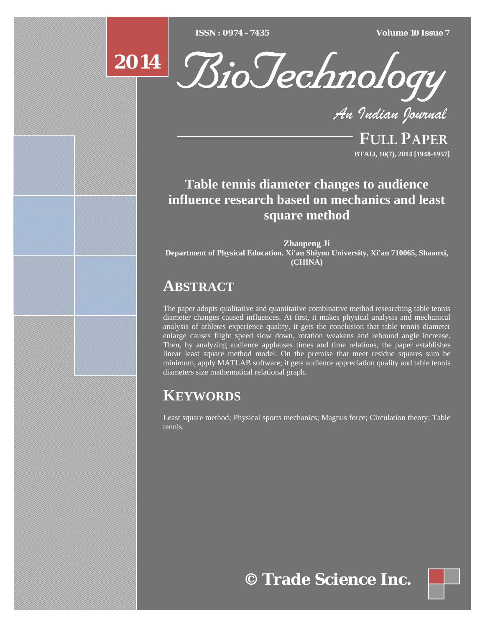[Type text] [Type text] [Type text] *ISSN : 0974 - 7435 Volume 10 Issue 7*





*An Indian Journal*

FULL PAPER **BTAIJ, 10(7), 2014 [1948-1957]**

# **Table tennis diameter changes to audience influence research based on mechanics and least square method**

**Zhaopeng Ji Department of Physical Education, Xi'an Shiyou University, Xi'an 710065, Shaanxi, (CHINA)**

# **ABSTRACT**

The paper adopts qualitative and quantitative combinative method researching table tennis diameter changes caused influences. At first, it makes physical analysis and mechanical analysis of athletes experience quality, it gets the conclusion that table tennis diameter enlarge causes flight speed slow down, rotation weakens and rebound angle increase. Then, by analyzing audience applauses times and time relations, the paper establishes linear least square method model. On the premise that meet residue squares sum be minimum, apply MATLAB software; it gets audience appreciation quality and table tennis diameters size mathematical relational graph.

# **KEYWORDS**

Least square method; Physical sports mechanics; Magnus force; Circulation theory; Table tennis.

**© Trade Science Inc.**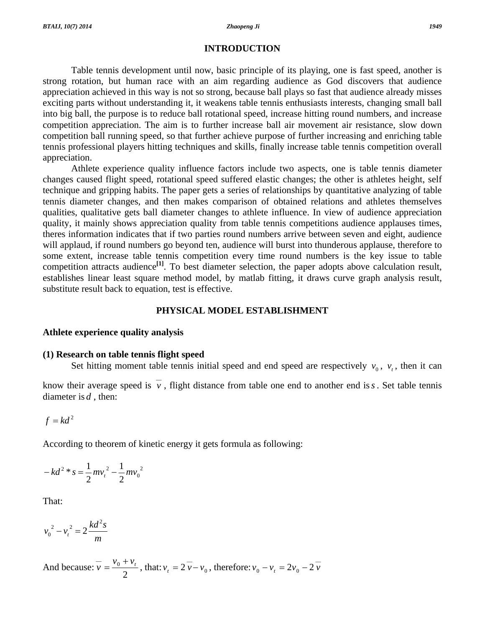# **INTRODUCTION**

 Table tennis development until now, basic principle of its playing, one is fast speed, another is strong rotation, but human race with an aim regarding audience as God discovers that audience appreciation achieved in this way is not so strong, because ball plays so fast that audience already misses exciting parts without understanding it, it weakens table tennis enthusiasts interests, changing small ball into big ball, the purpose is to reduce ball rotational speed, increase hitting round numbers, and increase competition appreciation. The aim is to further increase ball air movement air resistance, slow down competition ball running speed, so that further achieve purpose of further increasing and enriching table tennis professional players hitting techniques and skills, finally increase table tennis competition overall appreciation.

 Athlete experience quality influence factors include two aspects, one is table tennis diameter changes caused flight speed, rotational speed suffered elastic changes; the other is athletes height, self technique and gripping habits. The paper gets a series of relationships by quantitative analyzing of table tennis diameter changes, and then makes comparison of obtained relations and athletes themselves qualities, qualitative gets ball diameter changes to athlete influence. In view of audience appreciation quality, it mainly shows appreciation quality from table tennis competitions audience applauses times, theres information indicates that if two parties round numbers arrive between seven and eight, audience will applaud, if round numbers go beyond ten, audience will burst into thunderous applause, therefore to some extent, increase table tennis competition every time round numbers is the key issue to table competition attracts audience<sup>[1]</sup>. To best diameter selection, the paper adopts above calculation result, establishes linear least square method model, by matlab fitting, it draws curve graph analysis result, substitute result back to equation, test is effective.

# **PHYSICAL MODEL ESTABLISHMENT**

# **Athlete experience quality analysis**

## **(1) Research on table tennis flight speed**

Set hitting moment table tennis initial speed and end speed are respectively  $v_0$ ,  $v_t$ , then it can

know their average speed is  $\overline{v}$ , flight distance from table one end to another end is *s*. Set table tennis diameter is *d* , then:

$$
f = kd^2
$$

According to theorem of kinetic energy it gets formula as following:

$$
-kd^{2} * s = \frac{1}{2}mv_{t}^{2} - \frac{1}{2}mv_{0}^{2}
$$

That:

$$
v_0^2 - v_t^2 = 2 \frac{kd^2s}{m}
$$

And because: 2  $\overline{v} = \frac{v_0 + v_t}{2}$ , that:  $v_t = 2 \overline{v} - v_0$ , therefore:  $v_0 - v_t = 2v_0 - 2 \overline{v}$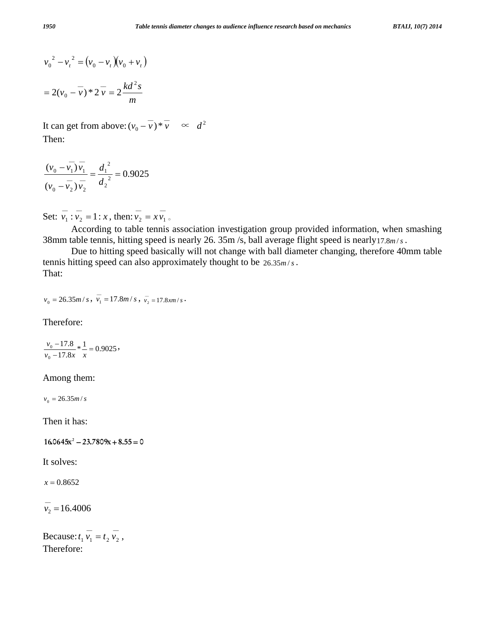$$
v_0^2 - v_t^2 = (v_0 - v_t)(v_0 + v_t)
$$
  
=  $2(v_0 - \overline{v}) * 2\overline{v} = 2\frac{kd^2s}{m}$ 

It can get from above:  $(v_0 - \overline{v}) * \overline{v} \propto d^2$ Then:

$$
\frac{(\overline{v}_0 - \overline{v}_1)\overline{v}_1}{(\overline{v}_0 - \overline{v}_2)\overline{v}_2} = \frac{d_1^2}{d_2^2} = 0.9025
$$

Set:  $\overline{v_1} : \overline{v_2} = 1 : x$  $\overline{v_1}$ :  $\overline{v_2}$  = 1: x, then:  $\overline{v_2}$  =  $x \overline{v_1}$  $v_2 = x v_1$ 

 According to table tennis association investigation group provided information, when smashing 38mm table tennis, hitting speed is nearly 26. 35m /s, ball average flight speed is nearly17.8*m* /*s* .

 Due to hitting speed basically will not change with ball diameter changing, therefore 40mm table tennis hitting speed can also approximately thought to be  $26.35m/s$ . That:

$$
v_0 = 26.35m/s
$$
,  $\overline{v_1} = 17.8m/s$ ,  $\overline{v_2} = 17.8km/s$ .

Therefore:

 $\frac{-17.8}{17.8x} * \frac{1}{x} = 0.9025$  $\frac{y_0 - 17.8}{0.0 - 17.8x} * \frac{1}{x} =$  $v_0 - 17.8x \quad x$  $v_0$  – 17.8  $\ast \frac{1}{2}$  = 0.9025,

#### Among them:

 $v_0 = 26.35m/s$ 

Then it has:

 $16.0645x^2 - 23.7809x + 8.55 = 0$ 

It solves:

 $x = 0.8652$ 

 $v_2 = 16.4006$ 

Because:  $t_1 \overline{v_1} = t_2 \overline{v_2}$  $t_1 \overline{v_1} = t_2 \overline{v_2}$ , Therefore: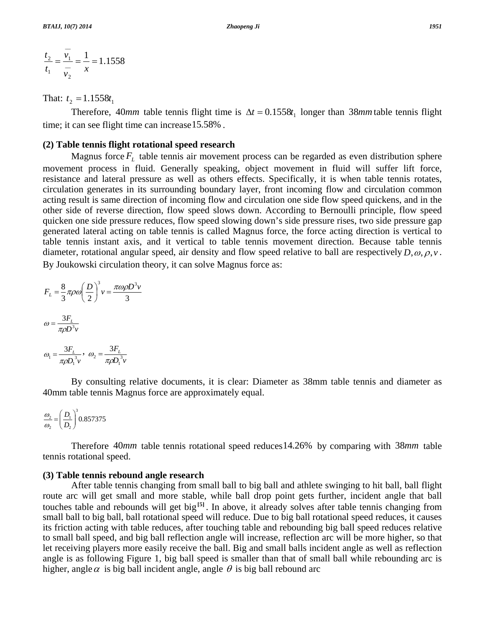$\overline{\phantom{0}}$ 

$$
\frac{t_2}{t_1} = \frac{v_1}{v_2} = \frac{1}{x} = 1.1558
$$

That:  $t_2 = 1.1558t_1$ 

Therefore, 40*mm* table tennis flight time is  $\Delta t = 0.1558t_1$  longer than 38*mm* table tennis flight time; it can see flight time can increase15.58% .

## **(2) Table tennis flight rotational speed research**

Magnus force  $F<sub>L</sub>$  table tennis air movement process can be regarded as even distribution sphere movement process in fluid. Generally speaking, object movement in fluid will suffer lift force, resistance and lateral pressure as well as others effects. Specifically, it is when table tennis rotates, circulation generates in its surrounding boundary layer, front incoming flow and circulation common acting result is same direction of incoming flow and circulation one side flow speed quickens, and in the other side of reverse direction, flow speed slows down. According to Bernoulli principle, flow speed quicken one side pressure reduces, flow speed slowing down's side pressure rises, two side pressure gap generated lateral acting on table tennis is called Magnus force, the force acting direction is vertical to table tennis instant axis, and it vertical to table tennis movement direction. Because table tennis diameter, rotational angular speed, air density and flow speed relative to ball are respectively *D*,ω, <sup>ρ</sup>,*v* . By Joukowski circulation theory, it can solve Magnus force as:

$$
F_L = \frac{8}{3} \pi \rho \omega \left(\frac{D}{2}\right)^3 v = \frac{\pi \omega \rho D^3 v}{3}
$$

$$
\omega = \frac{3F_L}{\pi \rho D^3 v}
$$

$$
\omega_1 = \frac{3F_L}{\pi \rho D_1^3 v}, \quad \omega_2 = \frac{3F_L}{\pi \rho D_1^3 v}
$$

 By consulting relative documents, it is clear: Diameter as 38mm table tennis and diameter as 40mm table tennis Magnus force are approximately equal.

$$
\frac{\omega_2}{\omega_2} = \left(\frac{D_1}{D_2}\right)^3 0.857375
$$

 Therefore 40*mm* table tennis rotational speed reduces14.26% by comparing with 38*mm* table tennis rotational speed.

### **(3) Table tennis rebound angle research**

 After table tennis changing from small ball to big ball and athlete swinging to hit ball, ball flight route arc will get small and more stable, while ball drop point gets further, incident angle that ball touches table and rebounds will get big**[5]** . In above, it already solves after table tennis changing from small ball to big ball, ball rotational speed will reduce. Due to big ball rotational speed reduces, it causes its friction acting with table reduces, after touching table and rebounding big ball speed reduces relative to small ball speed, and big ball reflection angle will increase, reflection arc will be more higher, so that let receiving players more easily receive the ball. Big and small balls incident angle as well as reflection angle is as following Figure 1, big ball speed is smaller than that of small ball while rebounding arc is higher, angle  $\alpha$  is big ball incident angle, angle  $\theta$  is big ball rebound arc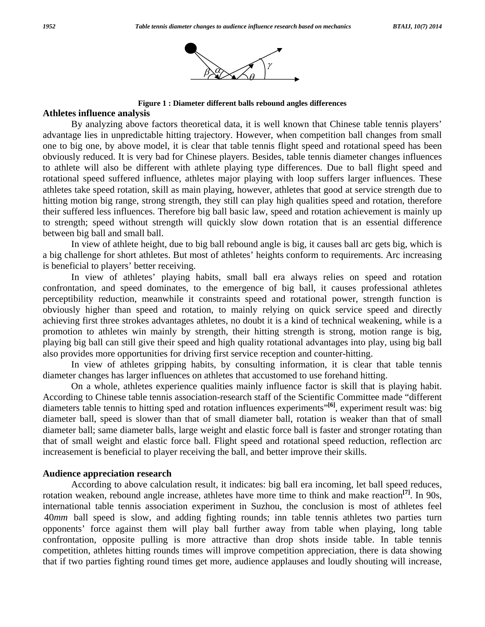

**Figure 1 : Diameter different balls rebound angles differences** 

## **Athletes influence analysis**

 By analyzing above factors theoretical data, it is well known that Chinese table tennis players' advantage lies in unpredictable hitting trajectory. However, when competition ball changes from small one to big one, by above model, it is clear that table tennis flight speed and rotational speed has been obviously reduced. It is very bad for Chinese players. Besides, table tennis diameter changes influences to athlete will also be different with athlete playing type differences. Due to ball flight speed and rotational speed suffered influence, athletes major playing with loop suffers larger influences. These athletes take speed rotation, skill as main playing, however, athletes that good at service strength due to hitting motion big range, strong strength, they still can play high qualities speed and rotation, therefore their suffered less influences. Therefore big ball basic law, speed and rotation achievement is mainly up to strength; speed without strength will quickly slow down rotation that is an essential difference between big ball and small ball.

 In view of athlete height, due to big ball rebound angle is big, it causes ball arc gets big, which is a big challenge for short athletes. But most of athletes' heights conform to requirements. Arc increasing is beneficial to players' better receiving.

 In view of athletes' playing habits, small ball era always relies on speed and rotation confrontation, and speed dominates, to the emergence of big ball, it causes professional athletes perceptibility reduction, meanwhile it constraints speed and rotational power, strength function is obviously higher than speed and rotation, to mainly relying on quick service speed and directly achieving first three strokes advantages athletes, no doubt it is a kind of technical weakening, while is a promotion to athletes win mainly by strength, their hitting strength is strong, motion range is big, playing big ball can still give their speed and high quality rotational advantages into play, using big ball also provides more opportunities for driving first service reception and counter-hitting.

 In view of athletes gripping habits, by consulting information, it is clear that table tennis diameter changes has larger influences on athletes that accustomed to use forehand hitting.

 On a whole, athletes experience qualities mainly influence factor is skill that is playing habit. According to Chinese table tennis association-research staff of the Scientific Committee made "different diameters table tennis to hitting sped and rotation influences experiments"**[6]**, experiment result was: big diameter ball, speed is slower than that of small diameter ball, rotation is weaker than that of small diameter ball; same diameter balls, large weight and elastic force ball is faster and stronger rotating than that of small weight and elastic force ball. Flight speed and rotational speed reduction, reflection arc increasement is beneficial to player receiving the ball, and better improve their skills.

#### **Audience appreciation research**

 According to above calculation result, it indicates: big ball era incoming, let ball speed reduces, rotation weaken, rebound angle increase, athletes have more time to think and make reaction**[7]**. In 90s, international table tennis association experiment in Suzhou, the conclusion is most of athletes feel 40*mm* ball speed is slow, and adding fighting rounds; inn table tennis athletes two parties turn opponents' force against them will play ball further away from table when playing, long table confrontation, opposite pulling is more attractive than drop shots inside table. In table tennis competition, athletes hitting rounds times will improve competition appreciation, there is data showing that if two parties fighting round times get more, audience applauses and loudly shouting will increase,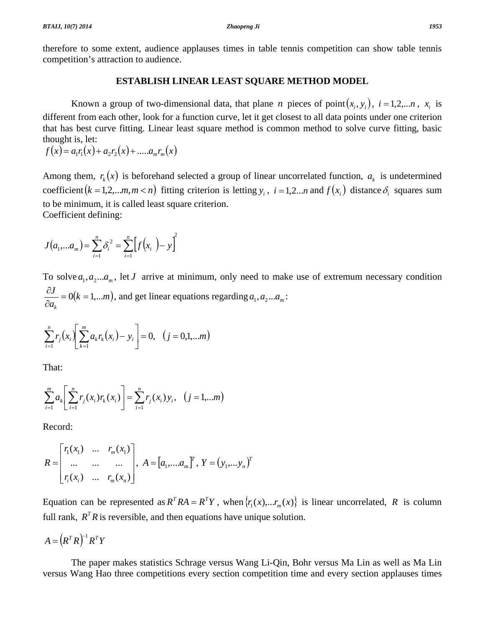therefore to some extent, audience applauses times in table tennis competition can show table tennis competition's attraction to audience.

# **ESTABLISH LINEAR LEAST SQUARE METHOD MODEL**

Known a group of two-dimensional data, that plane *n* pieces of point $(x_i, y_i)$ ,  $i = 1, 2,...n$ ,  $x_i$  is different from each other, look for a function curve, let it get closest to all data points under one criterion that has best curve fitting. Linear least square method is common method to solve curve fitting, basic thought is, let:

 $f(x) = a_1 r_1(x) + a_2 r_2(x) + \dots a_m r_m(x)$ 

Among them,  $r_k(x)$  is beforehand selected a group of linear uncorrelated function,  $a_k$  is undetermined coefficient  $(k = 1, 2, \ldots, m, m < n)$  fitting criterion is letting  $y_i$ ,  $i = 1, 2, \ldots, n$  and  $f(x_i)$  distance  $\delta_i$  squares sum to be minimum, it is called least square criterion.

Coefficient defining:

$$
J(a_1,...a_m) = \sum_{i=1}^n \delta_i^2 = \sum_{i=1}^n \left[ f(x_i) - y \right]^2
$$

To solve  $a_1, a_2... a_m$ , let *J* arrive at minimum, only need to make use of extremum necessary condition  $(k = 1,...m)$ *a J*  $\frac{\partial J}{\partial a_k} = 0(k = 1,...m)$ , and get linear equations regarding  $a_1, a_2...a_m$ :

$$
\sum_{i=1}^{n} r_j(x_i) \left[ \sum_{k=1}^{m} a_k r_k(x_i) - y_i \right] = 0, \quad (j = 0, 1, \dots m)
$$

That:

$$
\sum_{i=1}^{m} a_{k} \left[ \sum_{i=1}^{n} r_{j}(x_{i}) r_{k}(x_{i}) \right] = \sum_{i=1}^{n} r_{j}(x_{i}) y_{i}, \quad (j = 1,...m)
$$

Record:

$$
R = \begin{bmatrix} r_1(x_1) & \dots & r_m(x_1) \\ \dots & \dots & \dots \\ r_i(x_i) & \dots & r_m(x_n) \end{bmatrix}, A = [a_1, \dots, a_m]^T, Y = (y_1, \dots, y_n)^T
$$

Equation can be represented as  $R^T R A = R^T Y$ , when  $\{r_1(x),...,r_m(x)\}$  is linear uncorrelated, R is column full rank,  $R^T R$  is reversible, and then equations have unique solution.

$$
A = (R^T R)^{-1} R^T Y
$$

 The paper makes statistics Schrage versus Wang Li-Qin, Bohr versus Ma Lin as well as Ma Lin versus Wang Hao three competitions every section competition time and every section applauses times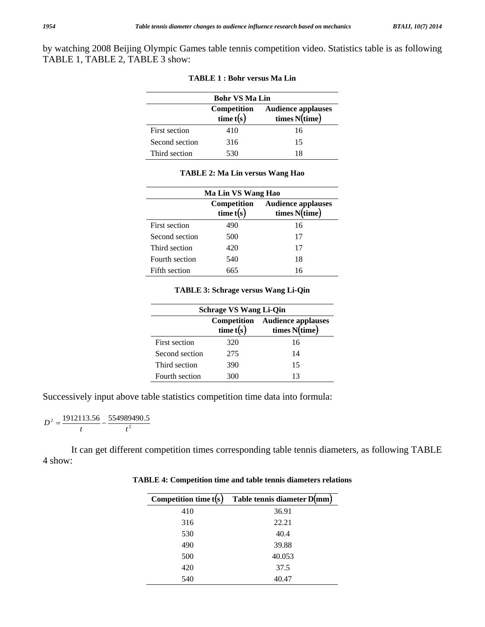by watching 2008 Beijing Olympic Games table tennis competition video. Statistics table is as following TABLE 1, TABLE 2, TABLE 3 show:

| <b>Bohr VS Ma Lin</b> |                          |                                               |  |
|-----------------------|--------------------------|-----------------------------------------------|--|
|                       | Competition<br>time t(s) | <b>Audience applauses</b><br>times $N$ (time) |  |
| First section         | 410                      | 16                                            |  |
| Second section        | 316                      | 15                                            |  |
| Third section         | 530                      | 18                                            |  |

|  |  |  |  |  |  |  |  | <b>TABLE 1 : Bohr versus Ma Lin</b> |  |  |
|--|--|--|--|--|--|--|--|-------------------------------------|--|--|
|--|--|--|--|--|--|--|--|-------------------------------------|--|--|

| Ma Lin VS Wang Hao |                            |                                            |  |
|--------------------|----------------------------|--------------------------------------------|--|
|                    | Competition<br>time $t(s)$ | <b>Audience applauses</b><br>times N(time) |  |
| First section      | 490                        | 16                                         |  |
| Second section     | 500                        | 17                                         |  |
| Third section      | 420                        | 17                                         |  |
| Fourth section     | 540                        | 18                                         |  |
| Fifth section      | 665                        | 16                                         |  |

## **TABLE 2: Ma Lin versus Wang Hao**

#### **TABLE 3: Schrage versus Wang Li-Qin**

| <b>Schrage VS Wang Li-Qin</b> |             |                                                           |  |
|-------------------------------|-------------|-----------------------------------------------------------|--|
|                               | time $t(s)$ | <b>Competition</b> Audience applauses<br>times $N$ (time) |  |
| First section                 | 320         | 16                                                        |  |
| Second section                | 275         | 14                                                        |  |
| Third section                 | 390         | 15                                                        |  |
| Fourth section                | 300         | 13                                                        |  |

Successively input above table statistics competition time data into formula:

 $\frac{1912113.56}{1} - \frac{554989490.5}{12}$  $D^2 = \frac{1512113.50}{t} - \frac{55456}{t}$ 

 It can get different competition times corresponding table tennis diameters, as following TABLE 4 show:

| Competition time $t(s)$ | Table tennis diameter D(mm) |
|-------------------------|-----------------------------|
| 410                     | 36.91                       |
| 316                     | 22.21                       |
| 530                     | 40.4                        |
| 490                     | 39.88                       |
| 500                     | 40.053                      |
| 420                     | 37.5                        |
| 540                     | 40.47                       |

**TABLE 4: Competition time and table tennis diameters relations**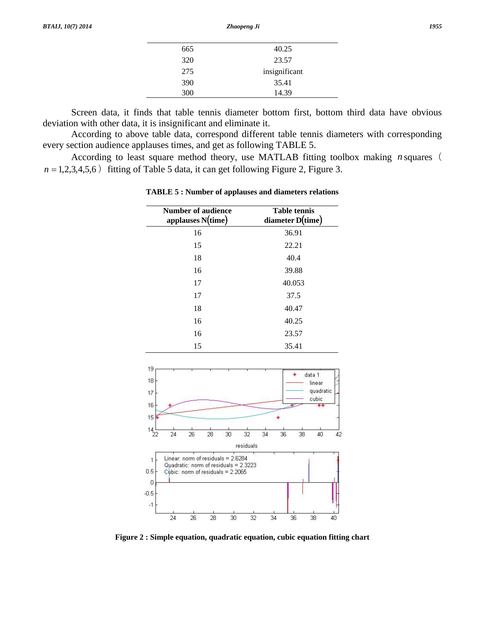| 665 | 40.25         |  |
|-----|---------------|--|
| 320 | 23.57         |  |
| 275 | insignificant |  |
| 390 | 35.41         |  |
| 300 | 14.39         |  |
|     |               |  |

 Screen data, it finds that table tennis diameter bottom first, bottom third data have obvious deviation with other data, it is insignificant and eliminate it.

 According to above table data, correspond different table tennis diameters with corresponding every section audience applauses times, and get as following TABLE 5.

 According to least square method theory, use MATLAB fitting toolbox making *n* squares(  $n = 1,2,3,4,5,6$  fitting of Table 5 data, it can get following Figure 2, Figure 3.

| <b>Number of audience</b><br>applauses $N(time)$ | <b>Table tennis</b><br>diameter D(time) |
|--------------------------------------------------|-----------------------------------------|
| 16                                               | 36.91                                   |
| 15                                               | 22.21                                   |
| 18                                               | 40.4                                    |
| 16                                               | 39.88                                   |
| 17                                               | 40.053                                  |
| 17                                               | 37.5                                    |
| 18                                               | 40.47                                   |
| 16                                               | 40.25                                   |
| 16                                               | 23.57                                   |
| 15                                               | 35.41                                   |

**TABLE 5 : Number of applauses and diameters relations** 



**Figure 2 : Simple equation, quadratic equation, cubic equation fitting chart**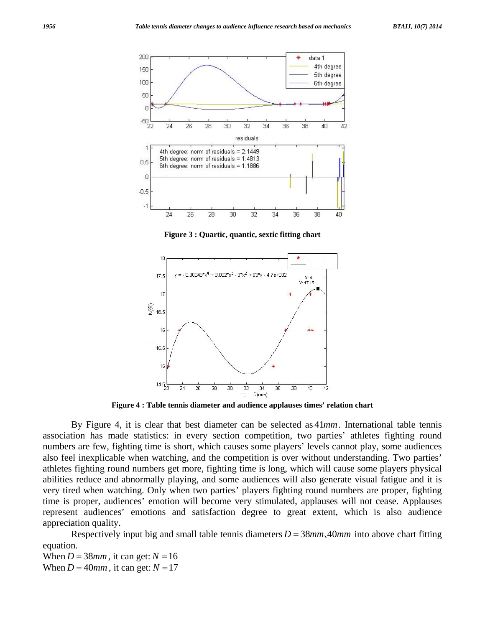

**Figure 3 : Quartic, quantic, sextic fitting chart** 



**Figure 4 : Table tennis diameter and audience applauses times' relation chart** 

 By Figure 4, it is clear that best diameter can be selected as 41*mm*. International table tennis association has made statistics: in every section competition, two parties' athletes fighting round numbers are few, fighting time is short, which causes some players' levels cannot play, some audiences also feel inexplicable when watching, and the competition is over without understanding. Two parties' athletes fighting round numbers get more, fighting time is long, which will cause some players physical abilities reduce and abnormally playing, and some audiences will also generate visual fatigue and it is very tired when watching. Only when two parties' players fighting round numbers are proper, fighting time is proper, audiences' emotion will become very stimulated, applauses will not cease. Applauses represent audiences' emotions and satisfaction degree to great extent, which is also audience appreciation quality.

 Respectively input big and small table tennis diameters *D* = 38*mm*、40*mm* into above chart fitting equation.

When  $D = 38$ *mm*, it can get:  $N = 16$ When  $D = 40$ *mm*, it can get:  $N = 17$